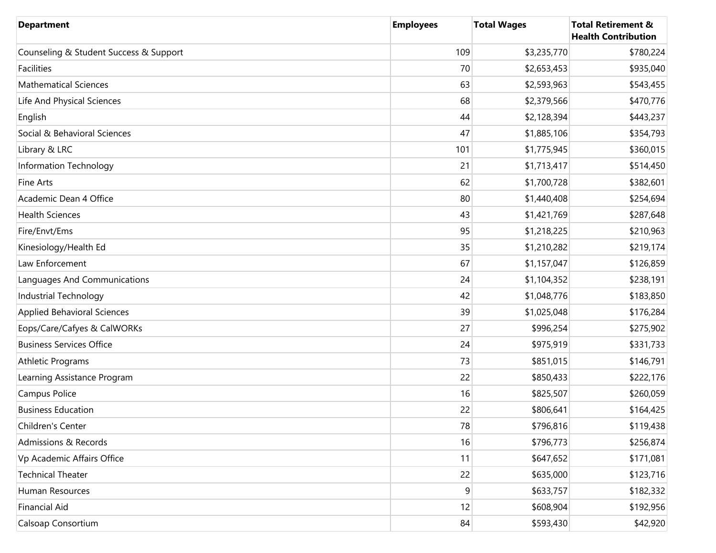| <b>Department</b>                      | <b>Employees</b> | <b>Total Wages</b> | <b>Total Retirement &amp;</b><br><b>Health Contribution</b> |
|----------------------------------------|------------------|--------------------|-------------------------------------------------------------|
| Counseling & Student Success & Support | 109              | \$3,235,770        | \$780,224                                                   |
| Facilities                             | 70               | \$2,653,453        | \$935,040                                                   |
| <b>Mathematical Sciences</b>           | 63               | \$2,593,963        | \$543,455                                                   |
| Life And Physical Sciences             | 68               | \$2,379,566        | \$470,776                                                   |
| English                                | 44               | \$2,128,394        | \$443,237                                                   |
| Social & Behavioral Sciences           | 47               | \$1,885,106        | \$354,793                                                   |
| Library & LRC                          | 101              | \$1,775,945        | \$360,015                                                   |
| Information Technology                 | 21               | \$1,713,417        | \$514,450                                                   |
| <b>Fine Arts</b>                       | 62               | \$1,700,728        | \$382,601                                                   |
| Academic Dean 4 Office                 | 80               | \$1,440,408        | \$254,694                                                   |
| <b>Health Sciences</b>                 | 43               | \$1,421,769        | \$287,648                                                   |
| Fire/Envt/Ems                          | 95               | \$1,218,225        | \$210,963                                                   |
| Kinesiology/Health Ed                  | 35               | \$1,210,282        | \$219,174                                                   |
| Law Enforcement                        | 67               | \$1,157,047        | \$126,859                                                   |
| Languages And Communications           | 24               | \$1,104,352        | \$238,191                                                   |
| Industrial Technology                  | 42               | \$1,048,776        | \$183,850                                                   |
| <b>Applied Behavioral Sciences</b>     | 39               | \$1,025,048        | \$176,284                                                   |
| Eops/Care/Cafyes & CalWORKs            | 27               | \$996,254          | \$275,902                                                   |
| <b>Business Services Office</b>        | 24               | \$975,919          | \$331,733                                                   |
| <b>Athletic Programs</b>               | 73               | \$851,015          | \$146,791                                                   |
| Learning Assistance Program            | 22               | \$850,433          | \$222,176                                                   |
| Campus Police                          | 16               | \$825,507          | \$260,059                                                   |
| <b>Business Education</b>              | 22               | \$806,641          | \$164,425                                                   |
| Children's Center                      | 78               | \$796,816          | \$119,438                                                   |
| <b>Admissions &amp; Records</b>        | 16               | \$796,773          | \$256,874                                                   |
| Vp Academic Affairs Office             | 11               | \$647,652          | \$171,081                                                   |
| <b>Technical Theater</b>               | 22               | \$635,000          | \$123,716                                                   |
| Human Resources                        | $\boldsymbol{9}$ | \$633,757          | \$182,332                                                   |
| <b>Financial Aid</b>                   | 12               | \$608,904          | \$192,956                                                   |
| Calsoap Consortium                     | 84               | \$593,430          | \$42,920                                                    |